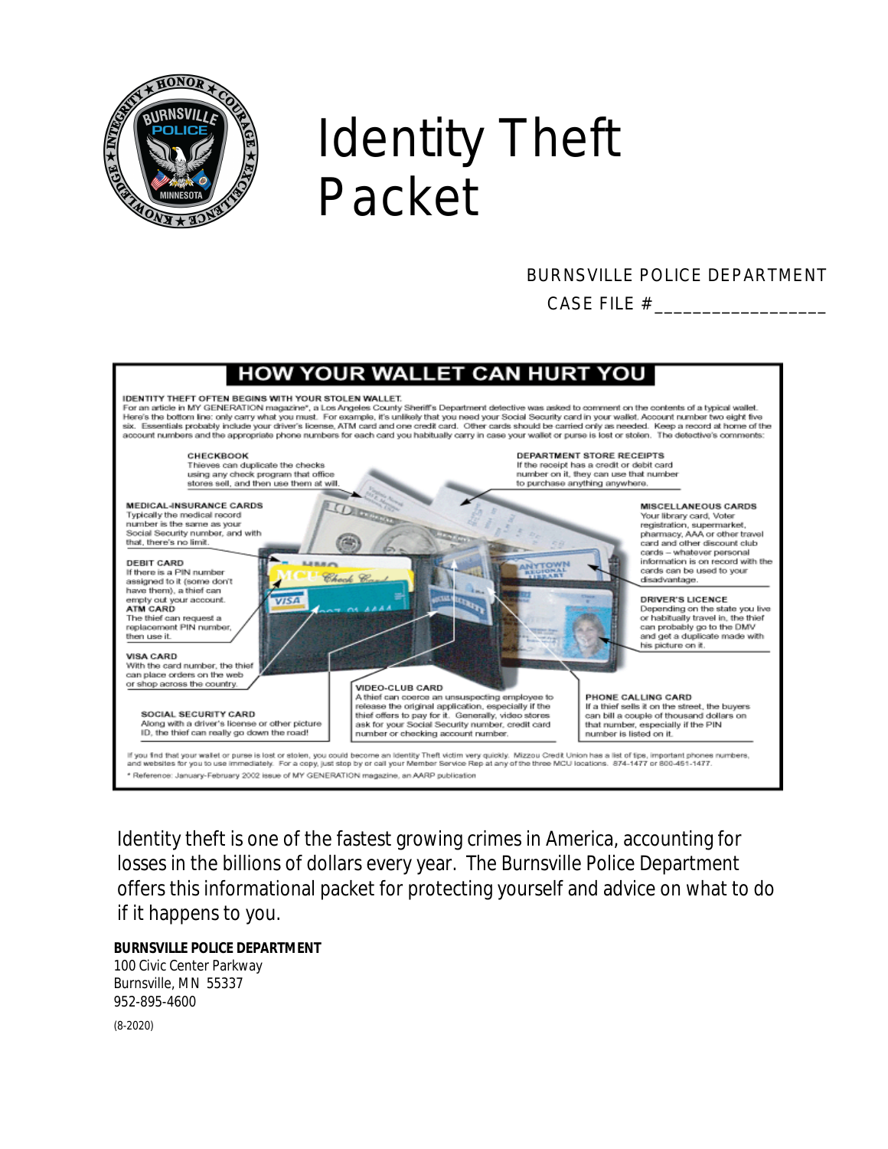

# Identity Theft Packet

### BURNSVILLE POLICE DEPARTMENT CASE FILE # \_\_\_\_\_\_\_\_\_\_\_\_\_\_\_\_\_\_



Identity theft is one of the fastest growing crimes in America, accounting for losses in the billions of dollars every year. The Burnsville Police Department offers this informational packet for protecting yourself and advice on what to do if it happens to you.

#### **BURNSVILLE POLICE DEPARTMENT**

100 Civic Center Parkway Burnsville, MN 55337 952-895-4600

(8-2020)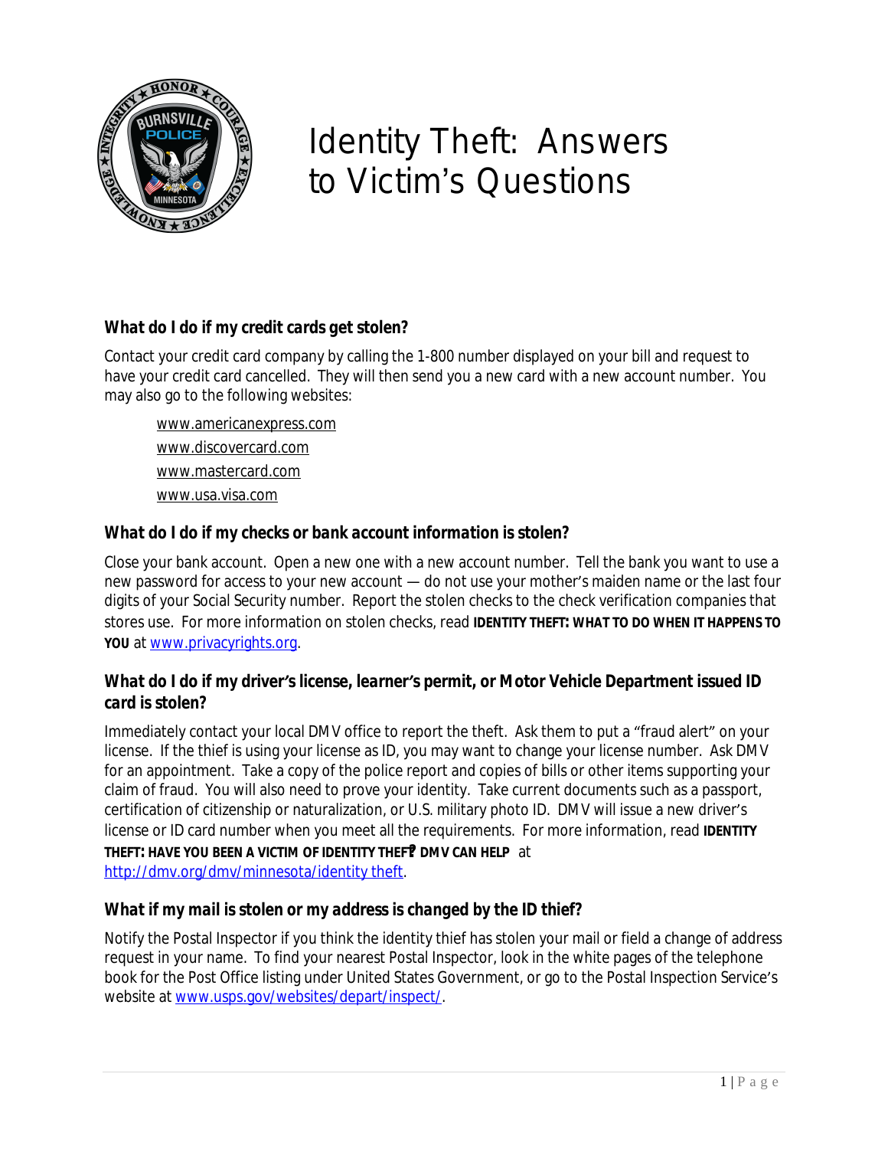

# Identity Theft: Answers to Victim's Questions

#### *What do I do if my credit cards get stolen?*

Contact your credit card company by calling the 1-800 number displayed on your bill and request to have your credit card cancelled. They will then send you a new card with a new account number. You may also go to the following websites:

[www.americanexpress.com](http://www.americanexpress.com) [www.discovercard.com](http://www.discovercard.com) [www.mastercard.com](http://www.mastercard.com) [www.usa.visa.com](http://www.usa.visa.com)

#### *What do I do if my checks or bank account information is stolen?*

Close your bank account. Open a new one with a new account number. Tell the bank you want to use a new password for access to your new account — do not use your mother's maiden name or the last four digits of your Social Security number. Report the stolen checks to the check verification companies that stores use. For more information on stolen checks, read *IDENTITY THEFT: WHAT TO DO WHEN IT HAPPENS TO YOU* at [www.privacyrights.org.](http://www.privacyrights.org)

#### *What do I do if my driver's license, learner's permit, or Motor Vehicle Department issued ID card is stolen?*

Immediately contact your local DMV office to report the theft. Ask them to put a "fraud alert" on your license. If the thief is using your license as ID, you may want to change your license number. Ask DMV for an appointment. Take a copy of the police report and copies of bills or other items supporting your claim of fraud. You will also need to prove your identity. Take current documents such as a passport, certification of citizenship or naturalization, or U.S. military photo ID. DMV will issue a new driver's license or ID card number when you meet all the requirements. For more information, read **IDENTITY THEFT: HAVE YOU BEEN A VICTIM OF IDENTITY THEFT? DMV CAN HELP** at <http://dmv.org/dmv/minnesota/identity theft>.

#### *What if my mail is stolen or my address is changed by the ID thief?*

Notify the Postal Inspector if you think the identity thief has stolen your mail or field a change of address request in your name. To find your nearest Postal Inspector, look in the white pages of the telephone book for the Post Office listing under United States Government, or go to the Postal Inspection Service's website at [www.usps.gov/websites/depart/inspect/.](http://www.usps.gov/websites/depart/inspect/)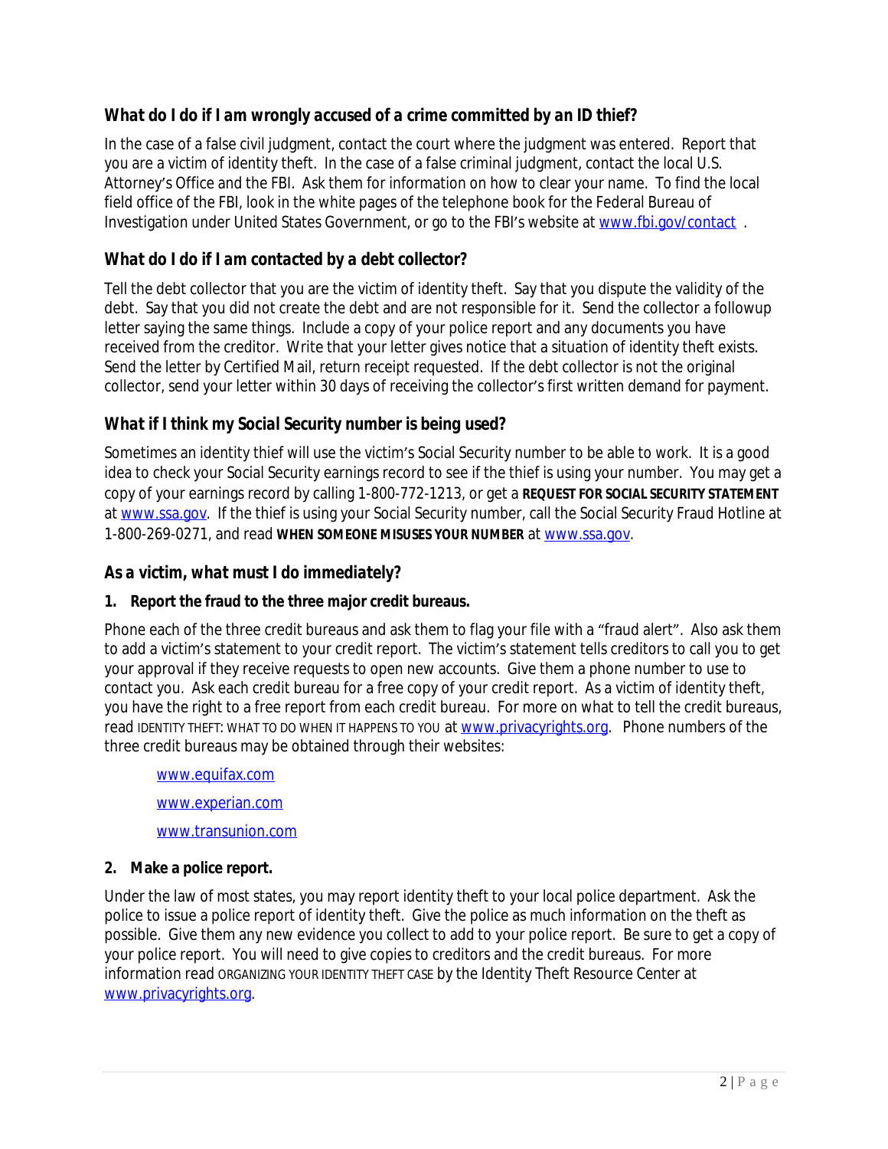#### *What do I do if I am wrongly accused of a crime committed by an ID thief?*

In the case of a false civil judgment, contact the court where the judgment was entered. Report that you are a victim of identity theft. In the case of a false criminal judgment, contact the local U.S. Attorney's Office and the FBI. Ask them for information on how to clear your name. To find the local field office of the FBI, look in the white pages of the telephone book for the Federal Bureau of Investigation under United States Government, or go to the FBI's website at [www.fbi.gov/contact](http://www.fbi.gov/contact) .

#### *What do I do if I am contacted by a debt collector?*

Tell the debt collector that you are the victim of identity theft. Say that you dispute the validity of the debt. Say that you did not create the debt and are not responsible for it. Send the collector a followup letter saying the same things. Include a copy of your police report and any documents you have received from the creditor. Write that your letter gives notice that a situation of identity theft exists. Send the letter by Certified Mail, return receipt requested. If the debt collector is not the original collector, send your letter within 30 days of receiving the collector's first written demand for payment.

#### *What if I think my Social Security number is being used?*

Sometimes an identity thief will use the victim's Social Security number to be able to work. It is a good idea to check your Social Security earnings record to see if the thief is using your number. You may get a copy of your earnings record by calling 1-800-772-1213, or get a *REQUEST FOR SOCIAL SECURITY STATEMENT* at [www.ssa.gov](http://www.ssa.gov). If the thief is using your Social Security number, call the Social Security Fraud Hotline at 1-800-269-0271, and read *WHEN SOMEONE MISUSES YOUR NUMBER* at [www.ssa.gov.](http://www.ssa.gov)

#### *As a victim, what must I do immediately?*

#### **1. Report the fraud to the three major credit bureaus.**

Phone each of the three credit bureaus and ask them to flag your file with a "fraud alert". Also ask them to add a victim's statement to your credit report. The victim's statement tells creditors to call you to get your approval if they receive requests to open new accounts. Give them a phone number to use to contact you. Ask each credit bureau for a free copy of your credit report. As a victim of identity theft, you have the right to a free report from each credit bureau. For more on what to tell the credit bureaus, read IDENTITY THEFT: WHAT TO DO WHEN IT HAPPENS TO YOU at [www.privacyrights.org](http://www.privacyrights.org). Phone numbers of the three credit bureaus may be obtained through their websites:

[www.equifax.com](http://www.equifax.com) [www.experian.com](http://www.experian.com) [www.transunion.com](http://www.transunion.com)

#### **2. Make a police report.**

Under the law of most states, you may report identity theft to your local police department. Ask the police to issue a police report of identity theft. Give the police as much information on the theft as possible. Give them any new evidence you collect to add to your police report. Be sure to get a copy of your police report. You will need to give copies to creditors and the credit bureaus. For more information read ORGANIZING YOUR IDENTITY THEFT CASE by the Identity Theft Resource Center at [www.privacyrights.org](http://www.privacyrights.org).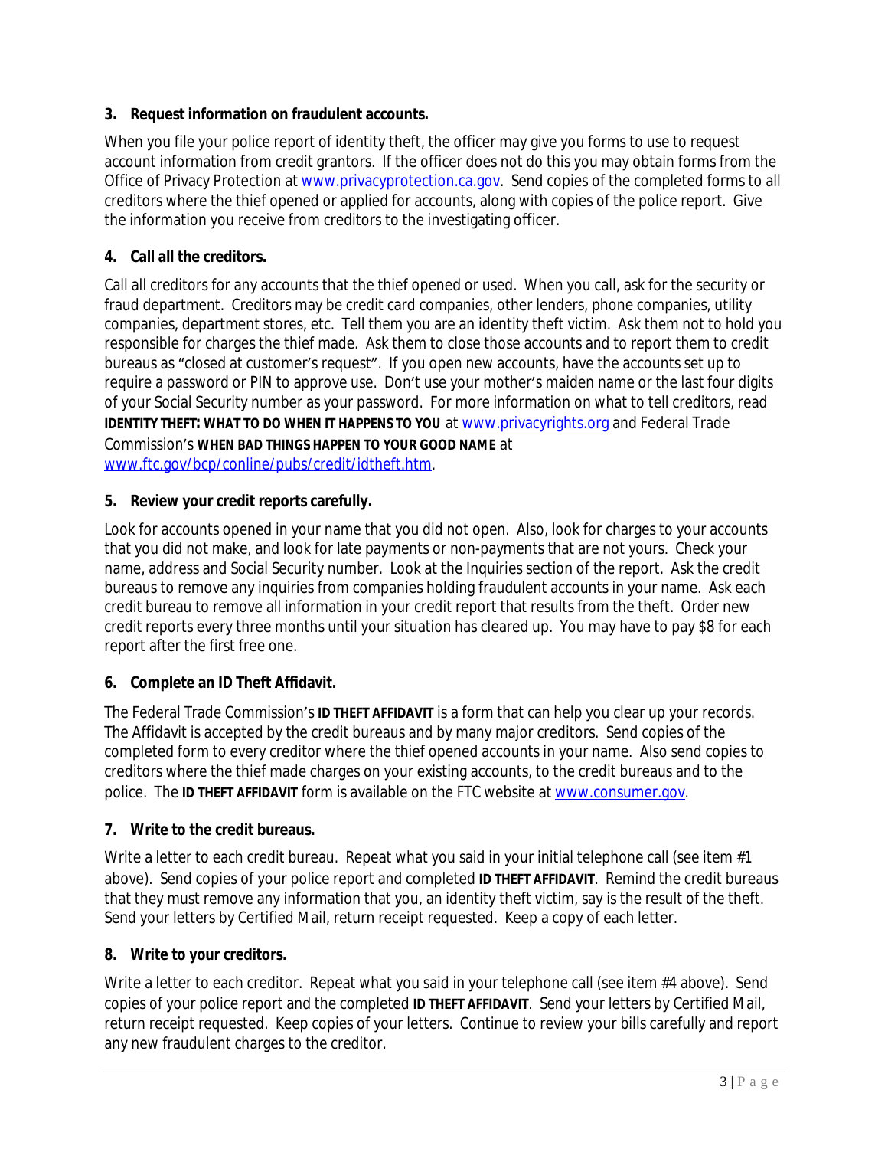#### **3. Request information on fraudulent accounts.**

When you file your police report of identity theft, the officer may give you forms to use to request account information from credit grantors. If the officer does not do this you may obtain forms from the Office of Privacy Protection at [www.privacyprotection.ca.gov.](http://www.privacyprotection.ca.gov) Send copies of the completed forms to all creditors where the thief opened or applied for accounts, along with copies of the police report. Give the information you receive from creditors to the investigating officer.

#### **4. Call all the creditors.**

Call all creditors for any accounts that the thief opened or used. When you call, ask for the security or fraud department. Creditors may be credit card companies, other lenders, phone companies, utility companies, department stores, etc. Tell them you are an identity theft victim. Ask them not to hold you responsible for charges the thief made. Ask them to close those accounts and to report them to credit bureaus as "closed at customer's request". If you open new accounts, have the accounts set up to require a password or PIN to approve use. Don't use your mother's maiden name or the last four digits of your Social Security number as your password. For more information on what to tell creditors, read *IDENTITY THEFT: WHAT TO DO WHEN IT HAPPENS TO YOU* at [www.privacyrights.org](http://www.privacyrights.org) and Federal Trade Commission's *WHEN BAD THINGS HAPPEN TO YOUR GOOD NAME* at [www.ftc.gov/bcp/conline/pubs/credit/idtheft.htm.](http://www.ftc.gov/bcp/conline/pubs/credit/idtheft.htm)

#### **5. Review your credit reports carefully.**

Look for accounts opened in your name that you did not open. Also, look for charges to your accounts that you did not make, and look for late payments or non-payments that are not yours. Check your name, address and Social Security number. Look at the Inquiries section of the report. Ask the credit bureaus to remove any inquiries from companies holding fraudulent accounts in your name. Ask each credit bureau to remove all information in your credit report that results from the theft. Order new credit reports every three months until your situation has cleared up. You may have to pay \$8 for each report after the first free one.

#### **6. Complete an ID Theft Affidavit.**

The Federal Trade Commission's *ID THEFT AFFIDAVIT* is a form that can help you clear up your records. The Affidavit is accepted by the credit bureaus and by many major creditors. Send copies of the completed form to every creditor where the thief opened accounts in your name. Also send copies to creditors where the thief made charges on your existing accounts, to the credit bureaus and to the police. The *ID THEFT AFFIDAVIT* form is available on the FTC website at [www.consumer.gov](http://www.consumer.gov).

#### **7. Write to the credit bureaus.**

Write a letter to each credit bureau. Repeat what you said in your initial telephone call (see item  $#1$ ) above). Send copies of your police report and completed *ID THEFT AFFIDAVIT*. Remind the credit bureaus that they must remove any information that you, an identity theft victim, say is the result of the theft. Send your letters by Certified Mail, return receipt requested. Keep a copy of each letter.

#### **8. Write to your creditors.**

Write a letter to each creditor. Repeat what you said in your telephone call (see item #4 above). Send copies of your police report and the completed *ID THEFT AFFIDAVIT*. Send your letters by Certified Mail, return receipt requested. Keep copies of your letters. Continue to review your bills carefully and report any new fraudulent charges to the creditor.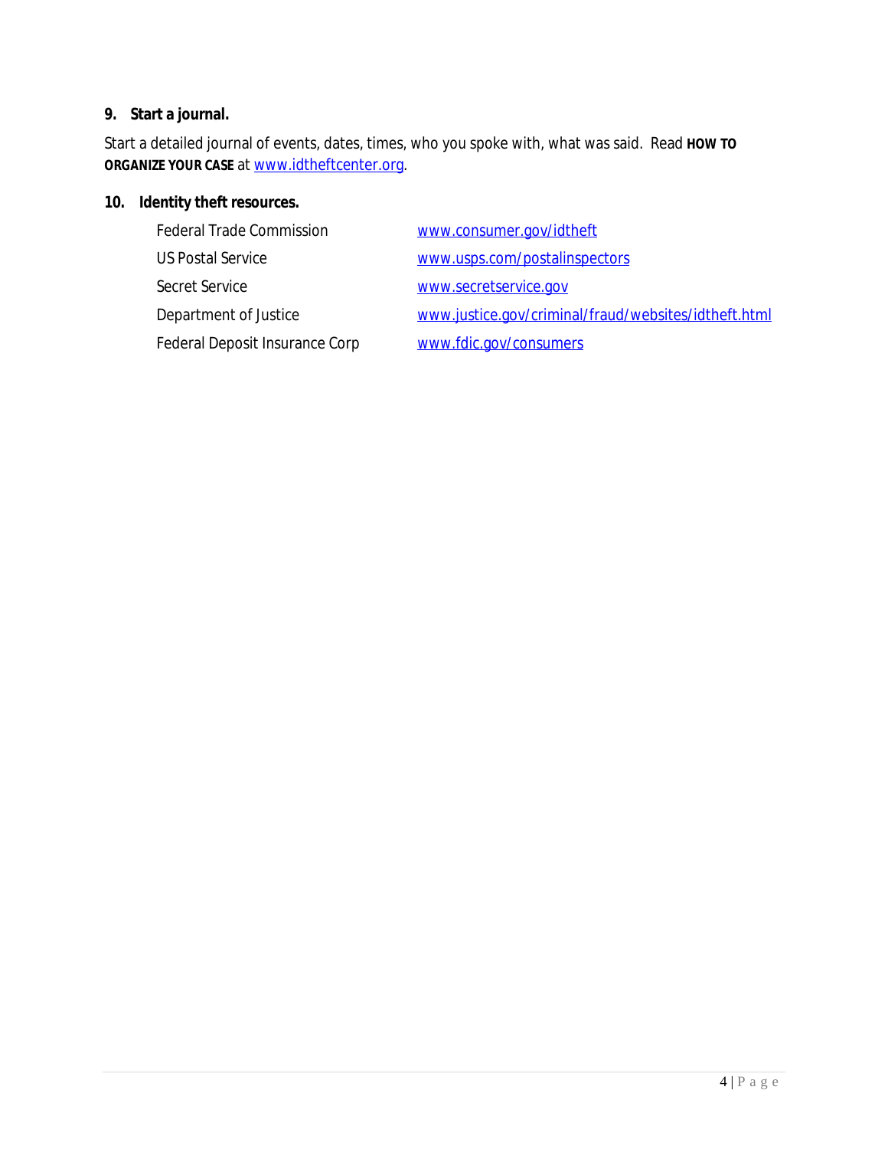#### **9. Start a journal.**

Start a detailed journal of events, dates, times, who you spoke with, what was said. Read *HOW TO ORGANIZE YOUR CASE* at [www.idtheftcenter.org](http://www.idtheftcenter.org).

#### **10. Identity theft resources.**

| <b>Federal Trade Commission</b> | www.consumer.gov/idtheft                             |
|---------------------------------|------------------------------------------------------|
| <b>US Postal Service</b>        | www.usps.com/postalinspectors                        |
| Secret Service                  | www.secretservice.gov                                |
| Department of Justice           | www.justice.gov/criminal/fraud/websites/idtheft.html |
| Federal Deposit Insurance Corp  | www.fdic.gov/consumers                               |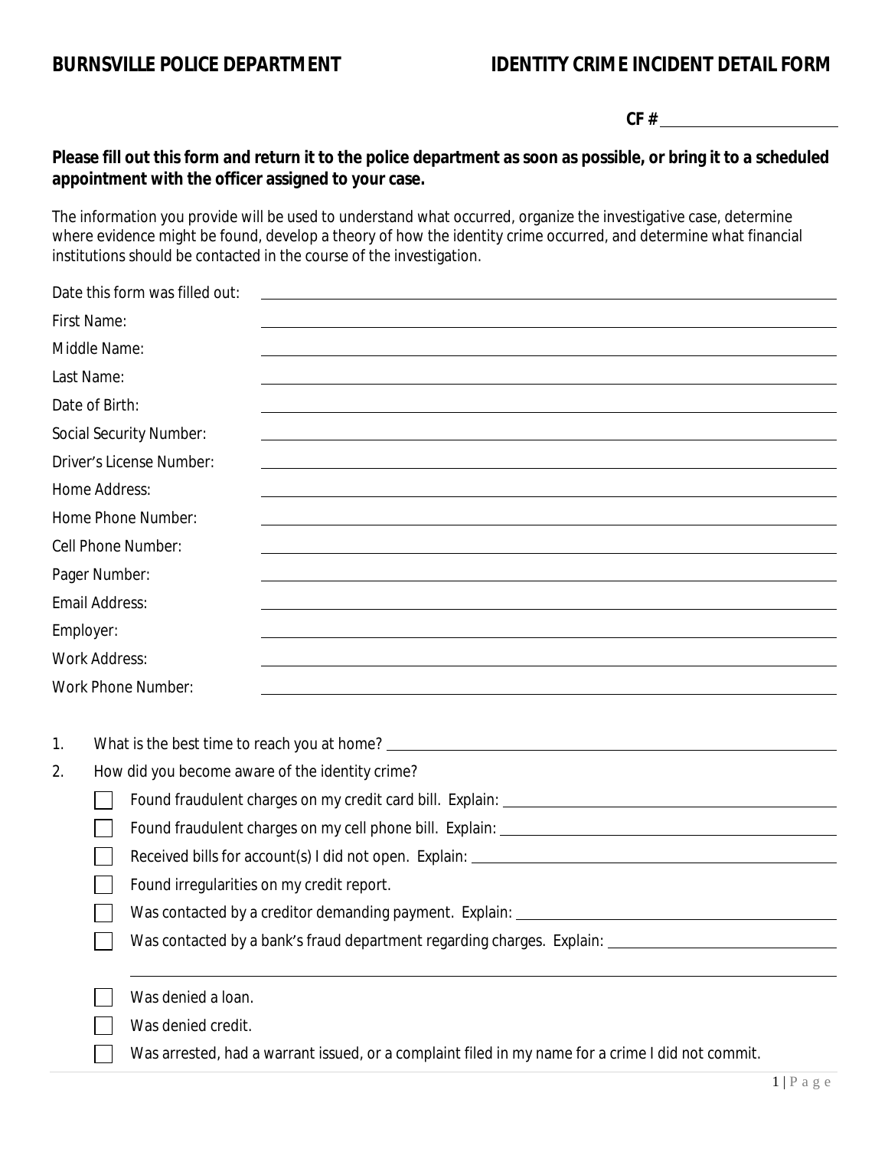#### **BURNSVILLE POLICE DEPARTMENT IDENTITY CRIME INCIDENT DETAIL FORM**

**CF #** 

#### **Please fill out this form and return it to the police department as soon as possible, or bring it to a scheduled appointment with the officer assigned to your case.**

The information you provide will be used to understand what occurred, organize the investigative case, determine where evidence might be found, develop a theory of how the identity crime occurred, and determine what financial institutions should be contacted in the course of the investigation.

|                      | Date this form was filled out:                                                                                                                                                                                                         |
|----------------------|----------------------------------------------------------------------------------------------------------------------------------------------------------------------------------------------------------------------------------------|
| First Name:          |                                                                                                                                                                                                                                        |
| Middle Name:         |                                                                                                                                                                                                                                        |
| Last Name:           |                                                                                                                                                                                                                                        |
| Date of Birth:       |                                                                                                                                                                                                                                        |
|                      | Social Security Number:                                                                                                                                                                                                                |
|                      | Driver's License Number:                                                                                                                                                                                                               |
| Home Address:        |                                                                                                                                                                                                                                        |
|                      | Home Phone Number:                                                                                                                                                                                                                     |
| Cell Phone Number:   |                                                                                                                                                                                                                                        |
| Pager Number:        |                                                                                                                                                                                                                                        |
| Email Address:       |                                                                                                                                                                                                                                        |
| Employer:            |                                                                                                                                                                                                                                        |
| <b>Work Address:</b> |                                                                                                                                                                                                                                        |
|                      | Work Phone Number:                                                                                                                                                                                                                     |
|                      |                                                                                                                                                                                                                                        |
| 1.                   | What is the best time to reach you at home?<br><u> Letter Letter Letter Letter Letter Letter Letter Letter Letter Letter Letter Letter Letter Letter Letter Letter Letter Letter Letter Letter Letter Letter Letter Letter Letter </u> |
| 2.                   | How did you become aware of the identity crime?                                                                                                                                                                                        |
|                      |                                                                                                                                                                                                                                        |
|                      |                                                                                                                                                                                                                                        |
|                      |                                                                                                                                                                                                                                        |
|                      | Found irregularities on my credit report.                                                                                                                                                                                              |
|                      |                                                                                                                                                                                                                                        |
|                      | Was contacted by a bank's fraud department regarding charges. Explain: _________                                                                                                                                                       |
|                      |                                                                                                                                                                                                                                        |
|                      | Was denied a loan.                                                                                                                                                                                                                     |
|                      | Was denied credit.                                                                                                                                                                                                                     |
|                      | Was arrested, had a warrant issued, or a complaint filed in my name for a crime I did not commit.                                                                                                                                      |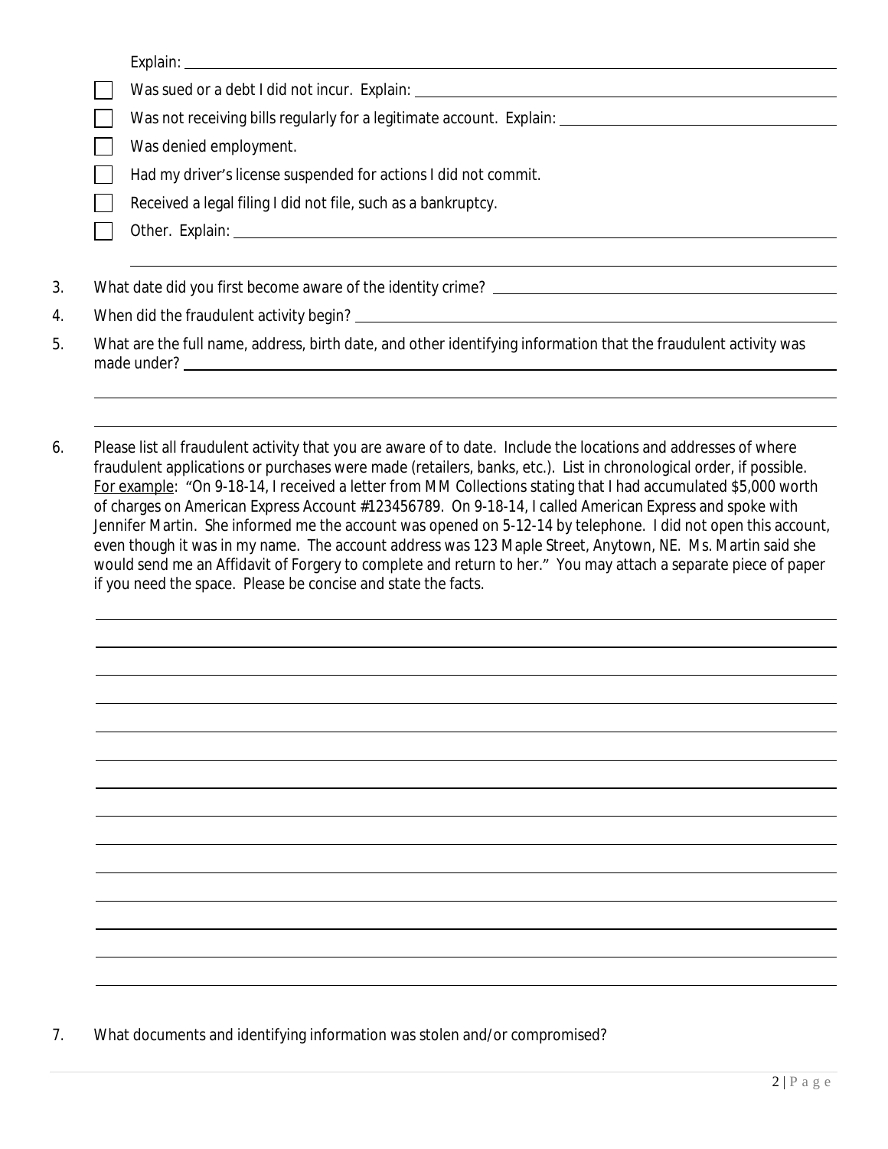| Was sued or a debt I did not incur. Explain: ___________________________________                                                                                                                                                                                                                                                                                                                                                                                                                                                                                                    |
|-------------------------------------------------------------------------------------------------------------------------------------------------------------------------------------------------------------------------------------------------------------------------------------------------------------------------------------------------------------------------------------------------------------------------------------------------------------------------------------------------------------------------------------------------------------------------------------|
|                                                                                                                                                                                                                                                                                                                                                                                                                                                                                                                                                                                     |
| Was denied employment.                                                                                                                                                                                                                                                                                                                                                                                                                                                                                                                                                              |
| Had my driver's license suspended for actions I did not commit.                                                                                                                                                                                                                                                                                                                                                                                                                                                                                                                     |
| Received a legal filing I did not file, such as a bankruptcy.                                                                                                                                                                                                                                                                                                                                                                                                                                                                                                                       |
|                                                                                                                                                                                                                                                                                                                                                                                                                                                                                                                                                                                     |
|                                                                                                                                                                                                                                                                                                                                                                                                                                                                                                                                                                                     |
|                                                                                                                                                                                                                                                                                                                                                                                                                                                                                                                                                                                     |
| What are the full name, address, birth date, and other identifying information that the fraudulent activity was                                                                                                                                                                                                                                                                                                                                                                                                                                                                     |
|                                                                                                                                                                                                                                                                                                                                                                                                                                                                                                                                                                                     |
|                                                                                                                                                                                                                                                                                                                                                                                                                                                                                                                                                                                     |
| Please list all fraudulent activity that you are aware of to date. Include the locations and addresses of where<br>fraudulent applications or purchases were made (retailers, banks, etc.). List in chronological order, if possible.<br>For example: "On 9-18-14, I received a letter from MM Collections stating that I had accumulated \$5,000 worth<br>of charges on American Express Account #123456789. On 9-18-14, I called American Express and spoke with<br>Jennifer Martin. She informed me the account was opened on 5-12-14 by telephone. I did not open this account, |
| even though it was in my name. The account address was 123 Maple Street, Anytown, NE. Ms. Martin said she<br>would send me an Affidavit of Forgery to complete and return to her." You may attach a separate piece of paper<br>if you need the space. Please be concise and state the facts.                                                                                                                                                                                                                                                                                        |
|                                                                                                                                                                                                                                                                                                                                                                                                                                                                                                                                                                                     |
|                                                                                                                                                                                                                                                                                                                                                                                                                                                                                                                                                                                     |
|                                                                                                                                                                                                                                                                                                                                                                                                                                                                                                                                                                                     |
|                                                                                                                                                                                                                                                                                                                                                                                                                                                                                                                                                                                     |
|                                                                                                                                                                                                                                                                                                                                                                                                                                                                                                                                                                                     |
|                                                                                                                                                                                                                                                                                                                                                                                                                                                                                                                                                                                     |
|                                                                                                                                                                                                                                                                                                                                                                                                                                                                                                                                                                                     |
|                                                                                                                                                                                                                                                                                                                                                                                                                                                                                                                                                                                     |

7. What documents and identifying information was stolen and/or compromised?

 $\overline{a}$  $\overline{a}$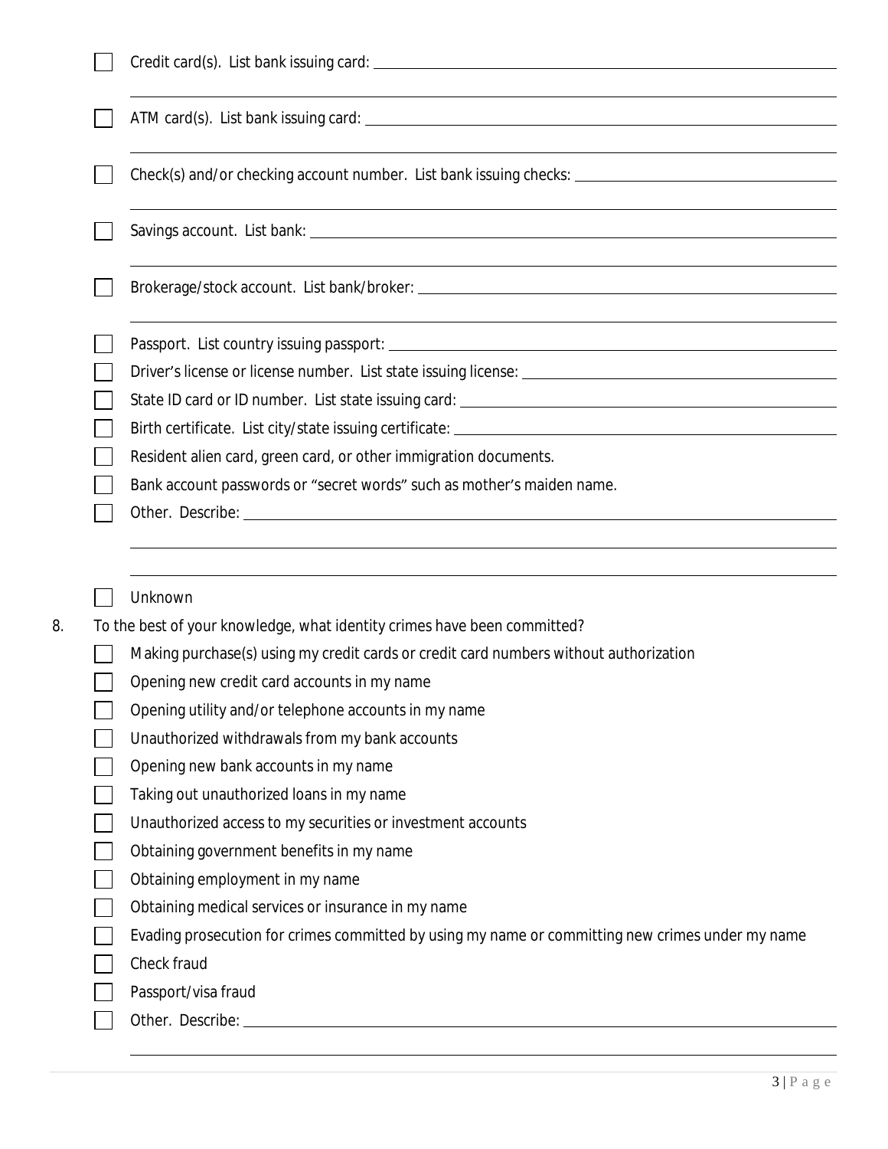| Resident alien card, green card, or other immigration documents.                                 |
|--------------------------------------------------------------------------------------------------|
| Bank account passwords or "secret words" such as mother's maiden name.                           |
|                                                                                                  |
| Unknown<br>To the best of your knowledge, what identity crimes have been committed?              |
| Making purchase(s) using my credit cards or credit card numbers without authorization            |
| Opening new credit card accounts in my name                                                      |
| Opening utility and/or telephone accounts in my name                                             |
| Unauthorized withdrawals from my bank accounts                                                   |
| Opening new bank accounts in my name                                                             |
| Taking out unauthorized loans in my name                                                         |
| Unauthorized access to my securities or investment accounts                                      |
| Obtaining government benefits in my name                                                         |
| Obtaining employment in my name                                                                  |
|                                                                                                  |
| Obtaining medical services or insurance in my name                                               |
| Evading prosecution for crimes committed by using my name or committing new crimes under my name |
| Check fraud                                                                                      |
| Passport/visa fraud                                                                              |

 $\overline{a}$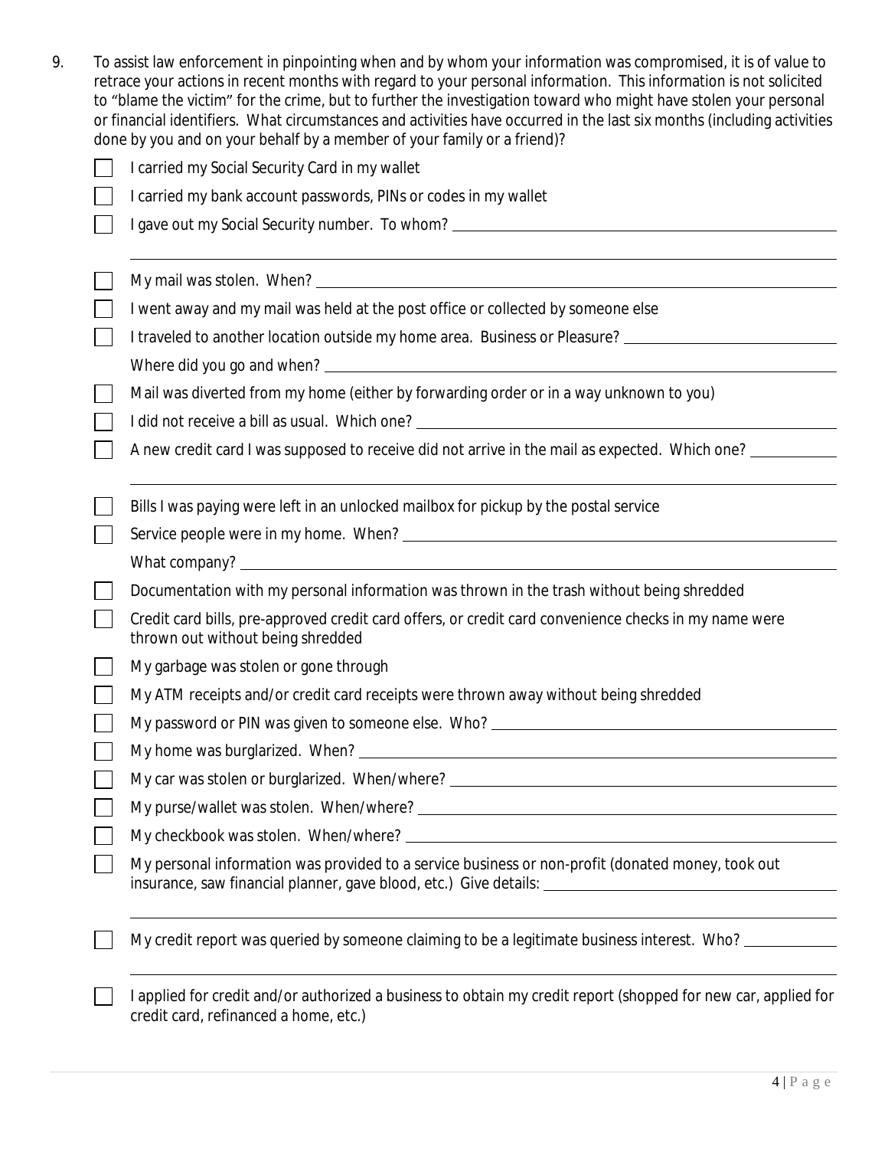| To assist law enforcement in pinpointing when and by whom your information was compromised, it is of value to          |
|------------------------------------------------------------------------------------------------------------------------|
| retrace your actions in recent months with regard to your personal information. This information is not solicited      |
| to "blame the victim" for the crime, but to further the investigation toward who might have stolen your personal       |
| or financial identifiers. What circumstances and activities have occurred in the last six months (including activities |
| done by you and on your behalf by a member of your family or a friend)?                                                |

| I carried my Social Security Card in my wallet                                                                                                          |
|---------------------------------------------------------------------------------------------------------------------------------------------------------|
| I carried my bank account passwords, PINs or codes in my wallet                                                                                         |
|                                                                                                                                                         |
|                                                                                                                                                         |
|                                                                                                                                                         |
| I went away and my mail was held at the post office or collected by someone else                                                                        |
| I traveled to another location outside my home area. Business or Pleasure? ___________________________________                                          |
|                                                                                                                                                         |
| Mail was diverted from my home (either by forwarding order or in a way unknown to you)                                                                  |
|                                                                                                                                                         |
| A new credit card I was supposed to receive did not arrive in the mail as expected. Which one? _________                                                |
|                                                                                                                                                         |
| Bills I was paying were left in an unlocked mailbox for pickup by the postal service                                                                    |
|                                                                                                                                                         |
| What company?                                                                                                                                           |
| Documentation with my personal information was thrown in the trash without being shredded                                                               |
| Credit card bills, pre-approved credit card offers, or credit card convenience checks in my name were<br>thrown out without being shredded              |
| My garbage was stolen or gone through                                                                                                                   |
| My ATM receipts and/or credit card receipts were thrown away without being shredded                                                                     |
|                                                                                                                                                         |
|                                                                                                                                                         |
| My car was stolen or burglarized. When/where? __________________________________                                                                        |
|                                                                                                                                                         |
|                                                                                                                                                         |
| My personal information was provided to a service business or non-profit (donated money, took out                                                       |
| My credit report was queried by someone claiming to be a legitimate business interest. Who?                                                             |
| I applied for credit and/or authorized a business to obtain my credit report (shopped for new car, applied for<br>credit card, refinanced a home, etc.) |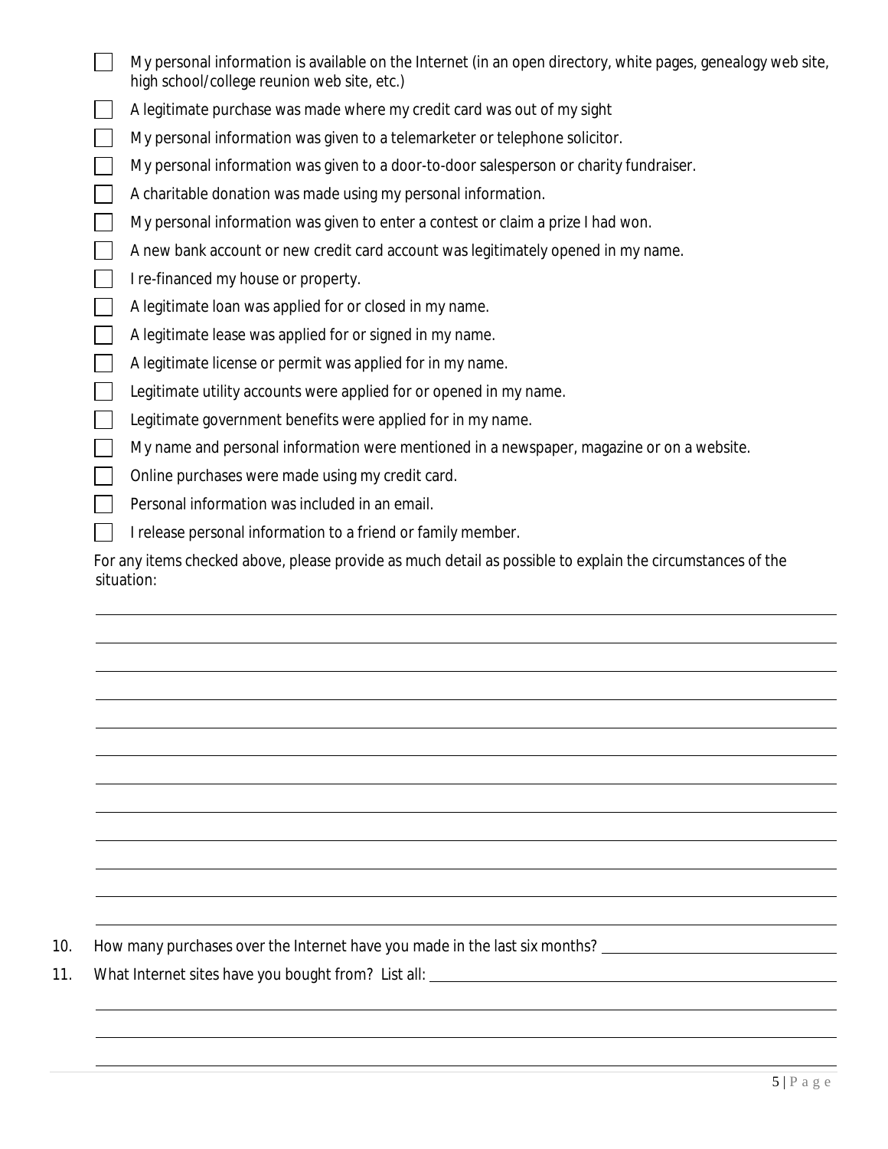| My personal information is available on the Internet (in an open directory, white pages, genealogy web site,<br>high school/college reunion web site, etc.) |
|-------------------------------------------------------------------------------------------------------------------------------------------------------------|
| A legitimate purchase was made where my credit card was out of my sight                                                                                     |
| My personal information was given to a telemarketer or telephone solicitor.                                                                                 |
| My personal information was given to a door-to-door salesperson or charity fundraiser.                                                                      |
| A charitable donation was made using my personal information.                                                                                               |
| My personal information was given to enter a contest or claim a prize I had won.                                                                            |
| A new bank account or new credit card account was legitimately opened in my name.                                                                           |
| I re-financed my house or property.                                                                                                                         |
| A legitimate loan was applied for or closed in my name.                                                                                                     |
| A legitimate lease was applied for or signed in my name.                                                                                                    |
| A legitimate license or permit was applied for in my name.                                                                                                  |
| Legitimate utility accounts were applied for or opened in my name.                                                                                          |
| Legitimate government benefits were applied for in my name.                                                                                                 |
| My name and personal information were mentioned in a newspaper, magazine or on a website.                                                                   |
| Online purchases were made using my credit card.                                                                                                            |
| Personal information was included in an email.                                                                                                              |
| I release personal information to a friend or family member.                                                                                                |
| For any items checked above, please provide as much detail as possible to explain the circumstances of the<br>situation:                                    |

10. How many purchases over the Internet have you made in the last six months? \_\_\_\_\_\_\_\_\_\_\_\_\_\_\_\_\_\_\_\_\_\_\_\_\_\_\_\_\_\_\_

11. What Internet sites have you bought from? List all:

 $\overline{a}$  $\overline{a}$  $\overline{a}$  $\overline{a}$  $\overline{a}$  $\overline{a}$  $\overline{a}$  $\overline{a}$  $\overline{a}$  $\overline{a}$  $\overline{a}$ 

 $\overline{a}$  $\overline{a}$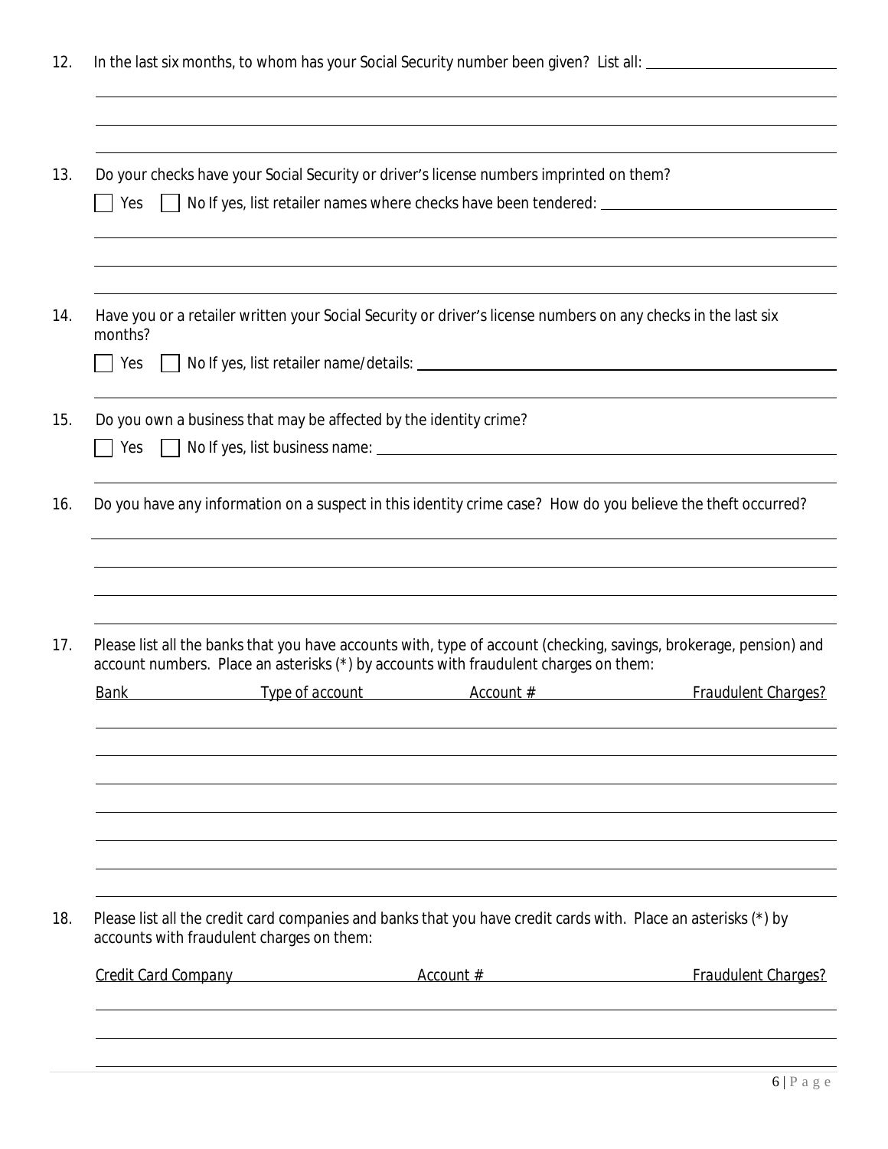|             |                                                                   | Do your checks have your Social Security or driver's license numbers imprinted on them?                            |                            |
|-------------|-------------------------------------------------------------------|--------------------------------------------------------------------------------------------------------------------|----------------------------|
| Yes         |                                                                   | No If yes, list retailer names where checks have been tendered: ___________________________________                |                            |
| months?     |                                                                   | Have you or a retailer written your Social Security or driver's license numbers on any checks in the last six      |                            |
| Yes         |                                                                   |                                                                                                                    |                            |
|             | Do you own a business that may be affected by the identity crime? |                                                                                                                    |                            |
| Yes         |                                                                   |                                                                                                                    |                            |
|             |                                                                   | Do you have any information on a suspect in this identity crime case? How do you believe the theft occurred?       |                            |
|             |                                                                   |                                                                                                                    |                            |
|             |                                                                   | Please list all the banks that you have accounts with, type of account (checking, savings, brokerage, pension) and |                            |
|             |                                                                   | account numbers. Place an asterisks (*) by accounts with fraudulent charges on them:                               |                            |
| <u>Bank</u> | Type of account                                                   | Account #                                                                                                          | <b>Fraudulent Charges?</b> |
|             |                                                                   |                                                                                                                    |                            |
|             |                                                                   |                                                                                                                    |                            |
|             | accounts with fraudulent charges on them:                         | Please list all the credit card companies and banks that you have credit cards with. Place an asterisks (*) by     |                            |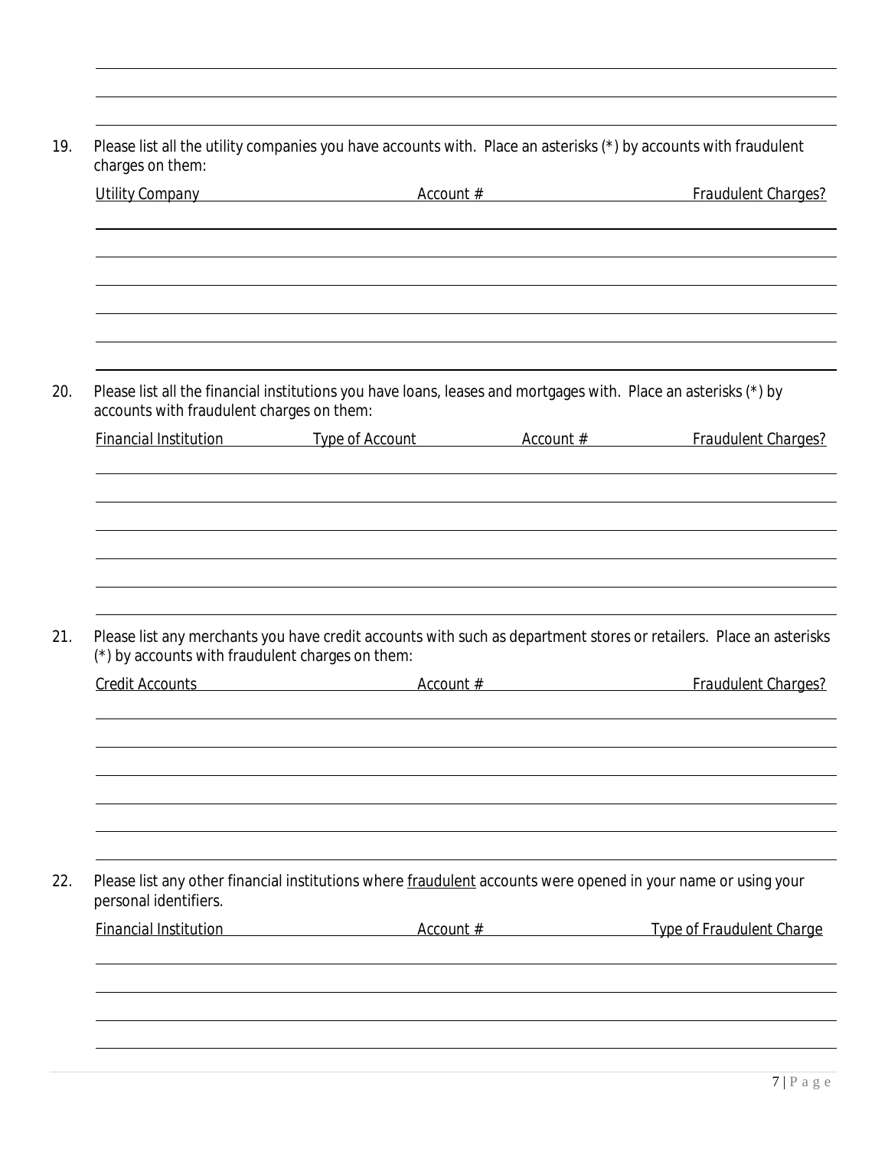|                                                  | Utility Company example and the count of the count of the count of the count of the count of the count of the count of the count of the count of the count of the count of the count of the count of the count of the count of | <b>Fraudulent Charges?</b>       |
|--------------------------------------------------|--------------------------------------------------------------------------------------------------------------------------------------------------------------------------------------------------------------------------------|----------------------------------|
|                                                  |                                                                                                                                                                                                                                |                                  |
|                                                  |                                                                                                                                                                                                                                |                                  |
|                                                  |                                                                                                                                                                                                                                |                                  |
|                                                  |                                                                                                                                                                                                                                |                                  |
|                                                  |                                                                                                                                                                                                                                |                                  |
|                                                  |                                                                                                                                                                                                                                |                                  |
| accounts with fraudulent charges on them:        | Please list all the financial institutions you have loans, leases and mortgages with. Place an asterisks (*) by                                                                                                                |                                  |
|                                                  | Financial Institution Type of Account Account # Fraudulent Charges?                                                                                                                                                            |                                  |
|                                                  |                                                                                                                                                                                                                                |                                  |
|                                                  |                                                                                                                                                                                                                                |                                  |
|                                                  |                                                                                                                                                                                                                                |                                  |
|                                                  |                                                                                                                                                                                                                                |                                  |
|                                                  |                                                                                                                                                                                                                                |                                  |
|                                                  |                                                                                                                                                                                                                                |                                  |
|                                                  |                                                                                                                                                                                                                                |                                  |
|                                                  |                                                                                                                                                                                                                                |                                  |
| (*) by accounts with fraudulent charges on them: | Please list any merchants you have credit accounts with such as department stores or retailers. Place an asterisks                                                                                                             |                                  |
|                                                  |                                                                                                                                                                                                                                |                                  |
|                                                  | Credit Accounts <b>Credit Account Account #</b> Account # Fraudulent Charges?                                                                                                                                                  |                                  |
|                                                  |                                                                                                                                                                                                                                |                                  |
|                                                  |                                                                                                                                                                                                                                |                                  |
|                                                  |                                                                                                                                                                                                                                |                                  |
|                                                  |                                                                                                                                                                                                                                |                                  |
|                                                  |                                                                                                                                                                                                                                |                                  |
|                                                  |                                                                                                                                                                                                                                |                                  |
|                                                  |                                                                                                                                                                                                                                |                                  |
| personal identifiers.                            | Please list any other financial institutions where fraudulent accounts were opened in your name or using your                                                                                                                  |                                  |
| <b>Financial Institution</b>                     | Account #                                                                                                                                                                                                                      | <b>Type of Fraudulent Charge</b> |
|                                                  |                                                                                                                                                                                                                                |                                  |
|                                                  |                                                                                                                                                                                                                                |                                  |
|                                                  |                                                                                                                                                                                                                                |                                  |

 $\overline{a}$  $\overline{a}$  $\overline{a}$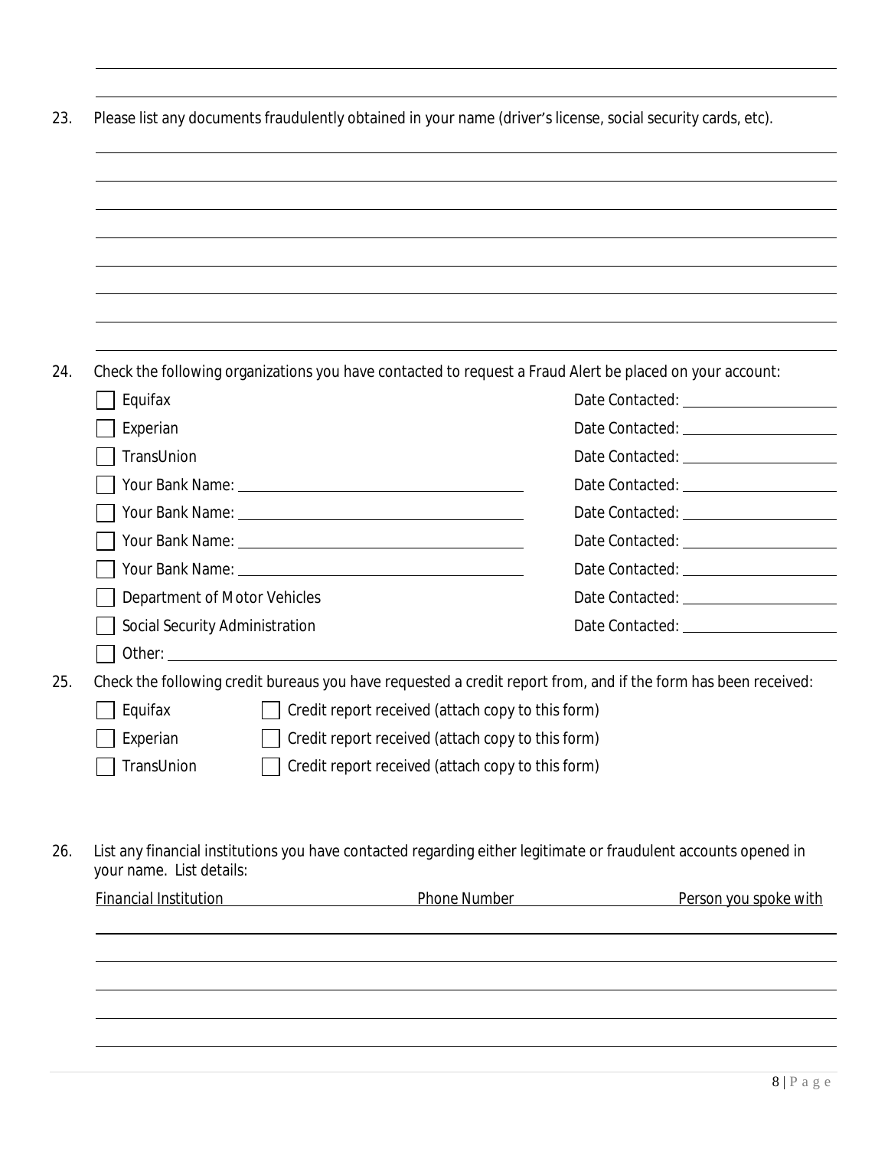|                                |                                                   | Check the following organizations you have contacted to request a Fraud Alert be placed on your account:        |
|--------------------------------|---------------------------------------------------|-----------------------------------------------------------------------------------------------------------------|
| Equifax                        |                                                   |                                                                                                                 |
| Experian                       |                                                   |                                                                                                                 |
| TransUnion                     |                                                   |                                                                                                                 |
|                                |                                                   |                                                                                                                 |
|                                |                                                   |                                                                                                                 |
|                                |                                                   |                                                                                                                 |
|                                |                                                   |                                                                                                                 |
| Department of Motor Vehicles   |                                                   |                                                                                                                 |
| Social Security Administration |                                                   |                                                                                                                 |
|                                |                                                   |                                                                                                                 |
|                                |                                                   | Check the following credit bureaus you have requested a credit report from, and if the form has been received:  |
| Equifax                        | Credit report received (attach copy to this form) |                                                                                                                 |
| Experian                       | Credit report received (attach copy to this form) |                                                                                                                 |
| TransUnion                     | Credit report received (attach copy to this form) |                                                                                                                 |
|                                |                                                   |                                                                                                                 |
| your name. List details:       |                                                   | List any financial institutions you have contacted regarding either legitimate or fraudulent accounts opened in |
| <b>Financial Institution</b>   | Phone Number Phone 2014                           | Person you spoke with                                                                                           |
|                                |                                                   |                                                                                                                 |

 $\overline{a}$  $\overline{a}$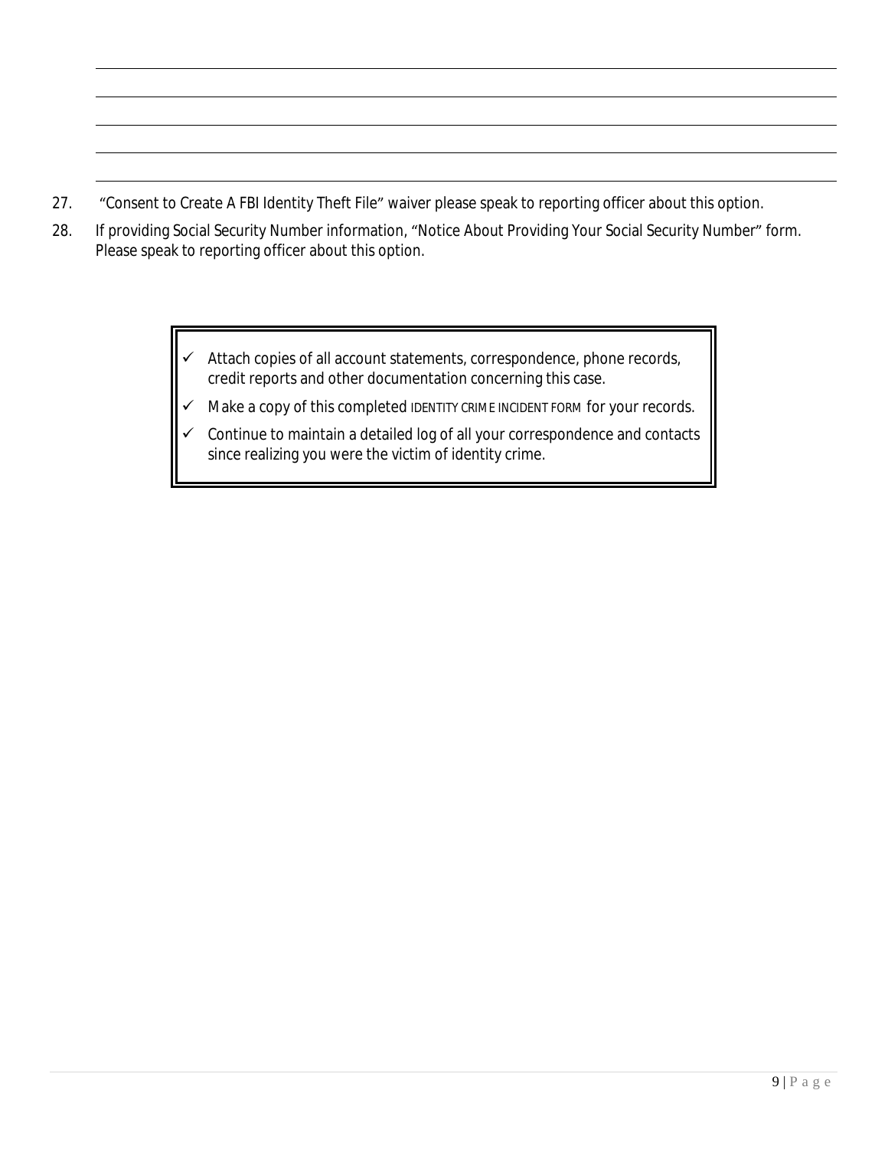27. "Consent to Create A FBI Identity Theft File" waiver please speak to reporting officer about this option.

 $\overline{a}$  $\overline{a}$  $\overline{a}$  $\overline{a}$  $\overline{a}$ 

- 28. If providing Social Security Number information, "Notice About Providing Your Social Security Number" form. Please speak to reporting officer about this option.
	- $\checkmark$  Attach copies of all account statements, correspondence, phone records, credit reports and other documentation concerning this case.
	- $\checkmark$  Make a copy of this completed IDENTITY CRIME INCIDENT FORM for your records.
	- $\checkmark$  Continue to maintain a detailed log of all your correspondence and contacts since realizing you were the victim of identity crime.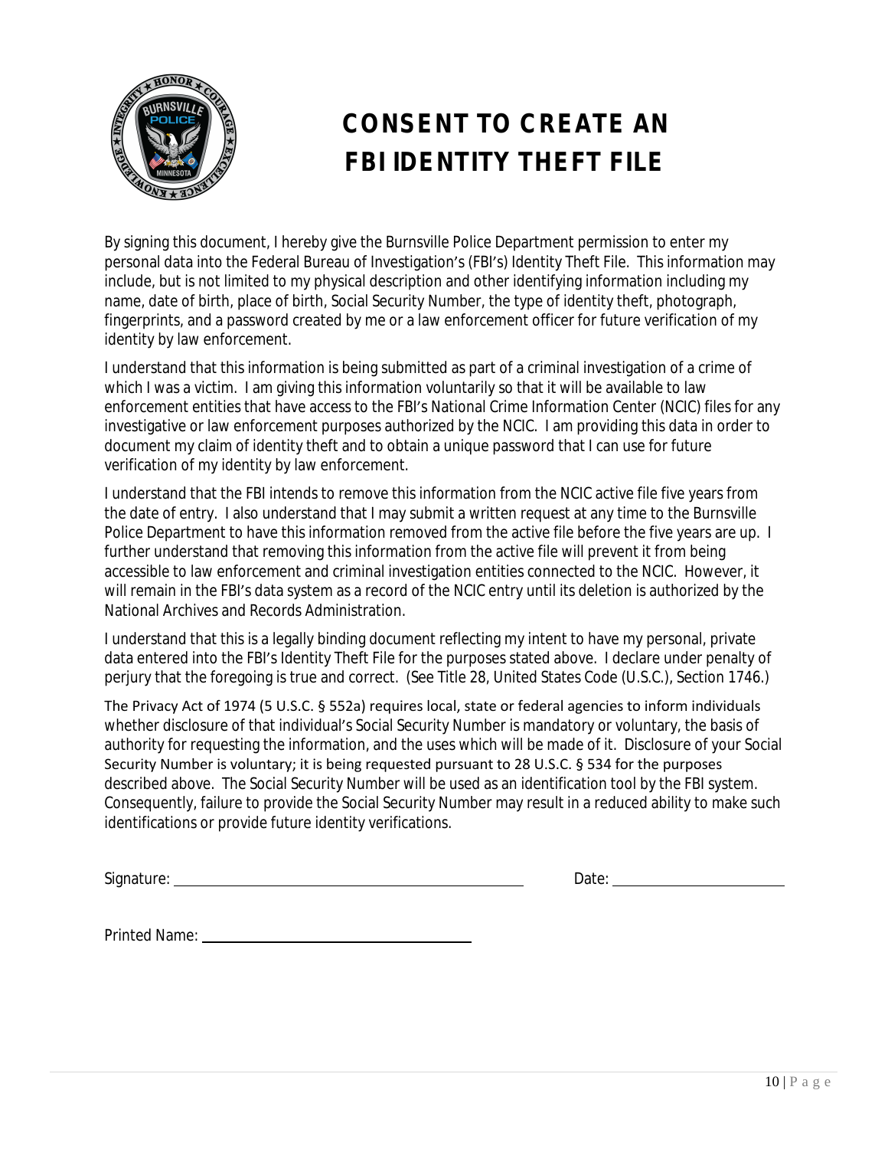

# **CONSENT TO CREATE AN FBI IDENTITY THEFT FILE**

By signing this document, I hereby give the Burnsville Police Department permission to enter my personal data into the Federal Bureau of Investigation's (FBI's) Identity Theft File. This information may include, but is not limited to my physical description and other identifying information including my name, date of birth, place of birth, Social Security Number, the type of identity theft, photograph, fingerprints, and a password created by me or a law enforcement officer for future verification of my identity by law enforcement.

I understand that this information is being submitted as part of a criminal investigation of a crime of which I was a victim. I am giving this information voluntarily so that it will be available to law enforcement entities that have access to the FBI's National Crime Information Center (NCIC) files for any investigative or law enforcement purposes authorized by the NCIC. I am providing this data in order to document my claim of identity theft and to obtain a unique password that I can use for future verification of my identity by law enforcement.

I understand that the FBI intends to remove this information from the NCIC active file five years from the date of entry. I also understand that I may submit a written request at any time to the Burnsville Police Department to have this information removed from the active file before the five years are up. I further understand that removing this information from the active file will prevent it from being accessible to law enforcement and criminal investigation entities connected to the NCIC. However, it will remain in the FBI's data system as a record of the NCIC entry until its deletion is authorized by the National Archives and Records Administration.

I understand that this is a legally binding document reflecting my intent to have my personal, private data entered into the FBI's Identity Theft File for the purposes stated above. I declare under penalty of perjury that the foregoing is true and correct. (See Title 28, United States Code (U.S.C.), Section 1746.)

The Privacy Act of 1974 (5 U.S.C. § 552a) requires local, state or federal agencies to inform individuals whether disclosure of that individual's Social Security Number is mandatory or voluntary, the basis of authority for requesting the information, and the uses which will be made of it. Disclosure of your Social Security Number is voluntary; it is being requested pursuant to 28 U.S.C. § 534 for the purposes described above. The Social Security Number will be used as an identification tool by the FBI system. Consequently, failure to provide the Social Security Number may result in a reduced ability to make such identifications or provide future identity verifications.

Signature: <u>Date: Date: Date: Date: Date: Date: Date: Date: Date: Date: Date: Date: Date: Date: Date: Date: Date: Date: Date: Date: Date: Date: Date: Date: Date: Date: Date: Date: Date: Date: Date: Date: Date: Date: Date: </u>

| D<br>Date: |
|------------|
|------------|

Printed Name: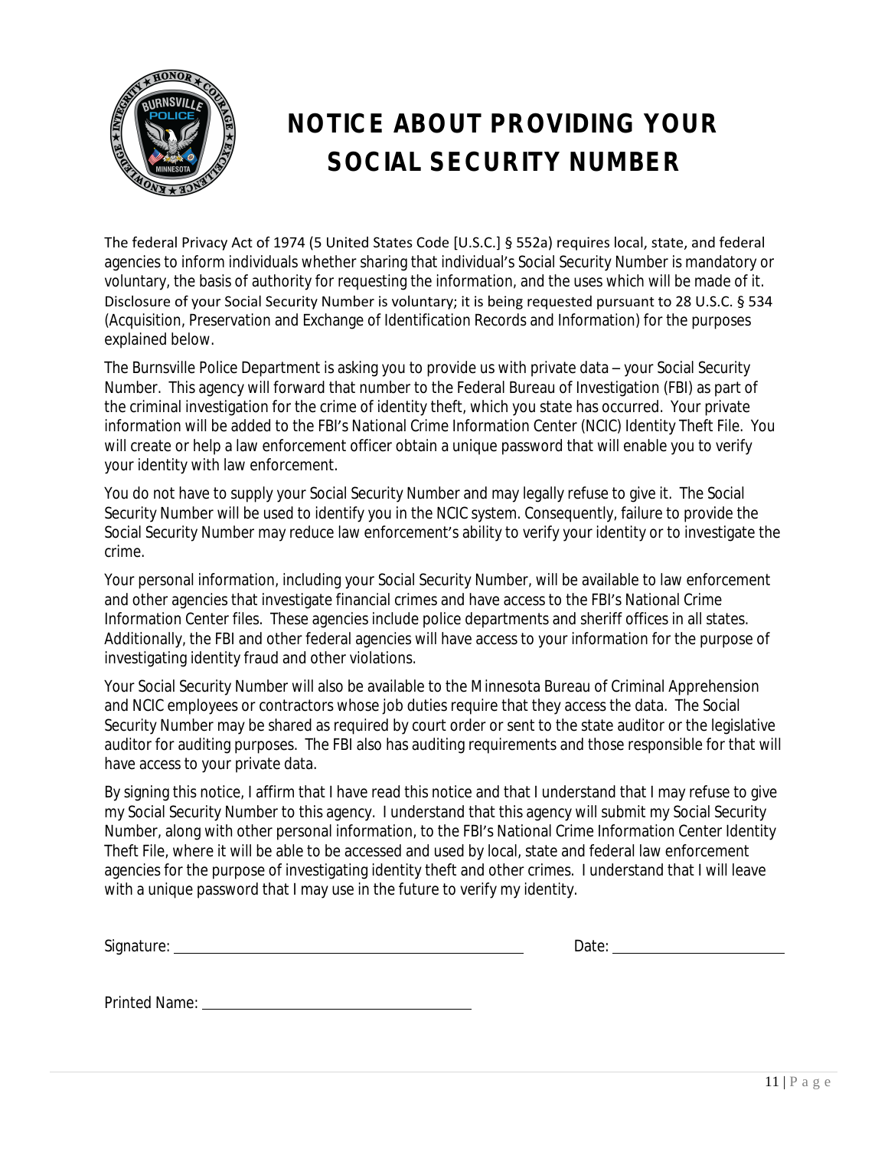

# **NOTICE ABOUT PROVIDING YOUR SOCIAL SECURITY NUMBER**

The federal Privacy Act of 1974 (5 United States Code [U.S.C.] § 552a) requires local, state, and federal agencies to inform individuals whether sharing that individual's Social Security Number is mandatory or voluntary, the basis of authority for requesting the information, and the uses which will be made of it. Disclosure of your Social Security Number is voluntary; it is being requested pursuant to 28 U.S.C. § 534 (Acquisition, Preservation and Exchange of Identification Records and Information) for the purposes explained below.

The Burnsville Police Department is asking you to provide us with private data – your Social Security Number. This agency will forward that number to the Federal Bureau of Investigation (FBI) as part of the criminal investigation for the crime of identity theft, which you state has occurred. Your private information will be added to the FBI's National Crime Information Center (NCIC) Identity Theft File. You will create or help a law enforcement officer obtain a unique password that will enable you to verify your identity with law enforcement.

You do not have to supply your Social Security Number and may legally refuse to give it. The Social Security Number will be used to identify you in the NCIC system. Consequently, failure to provide the Social Security Number may reduce law enforcement's ability to verify your identity or to investigate the crime.

Your personal information, including your Social Security Number, will be available to law enforcement and other agencies that investigate financial crimes and have access to the FBI's National Crime Information Center files. These agencies include police departments and sheriff offices in all states. Additionally, the FBI and other federal agencies will have access to your information for the purpose of investigating identity fraud and other violations.

Your Social Security Number will also be available to the Minnesota Bureau of Criminal Apprehension and NCIC employees or contractors whose job duties require that they access the data. The Social Security Number may be shared as required by court order or sent to the state auditor or the legislative auditor for auditing purposes. The FBI also has auditing requirements and those responsible for that will have access to your private data.

By signing this notice, I affirm that I have read this notice and that I understand that I may refuse to give my Social Security Number to this agency. I understand that this agency will submit my Social Security Number, along with other personal information, to the FBI's National Crime Information Center Identity Theft File, where it will be able to be accessed and used by local, state and federal law enforcement agencies for the purpose of investigating identity theft and other crimes. I understand that I will leave with a unique password that I may use in the future to verify my identity.

| $\sim$<br>Signature<br>$\cdots$<br>. |  | и<br>uw<br>$\sim$ $\sim$ |  |
|--------------------------------------|--|--------------------------|--|
|                                      |  |                          |  |

Printed Name: